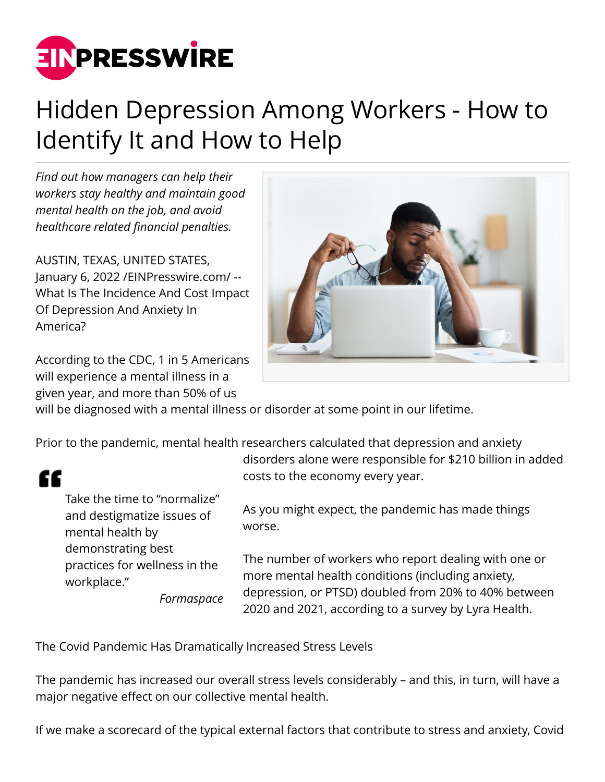

## Hidden Depression Among Workers - How to Identify It and How to Help

*Find out how managers can help their workers stay healthy and maintain good mental health on the job, and avoid healthcare related financial penalties.*

AUSTIN, TEXAS, UNITED STATES, January 6, 2022 [/EINPresswire.com](http://www.einpresswire.com)/ -- What Is The Incidence And Cost Impact Of Depression And Anxiety In America?

According to the CDC, 1 in 5 Americans will experience a mental illness in a given year, and more than 50% of us



will be diagnosed with a mental illness or disorder at some point in our lifetime.

Prior to the pandemic, mental health researchers calculated that depression and anxiety

## "

Take the time to "normalize" and destigmatize issues of mental health by demonstrating best practices for wellness in the workplace."

*Formaspace*

disorders alone were responsible for \$210 billion in added costs to the economy every year.

As you might expect, the pandemic has made things worse.

The number of workers who report dealing with one or more mental health conditions (including anxiety, depression, or PTSD) doubled from 20% to 40% between 2020 and 2021, according to a survey by Lyra Health.

The Covid Pandemic Has Dramatically Increased Stress Levels

The pandemic has increased our overall stress levels considerably – and this, in turn, will have a major negative effect on our collective mental health.

If we make a scorecard of the typical external factors that contribute to stress and anxiety, Covid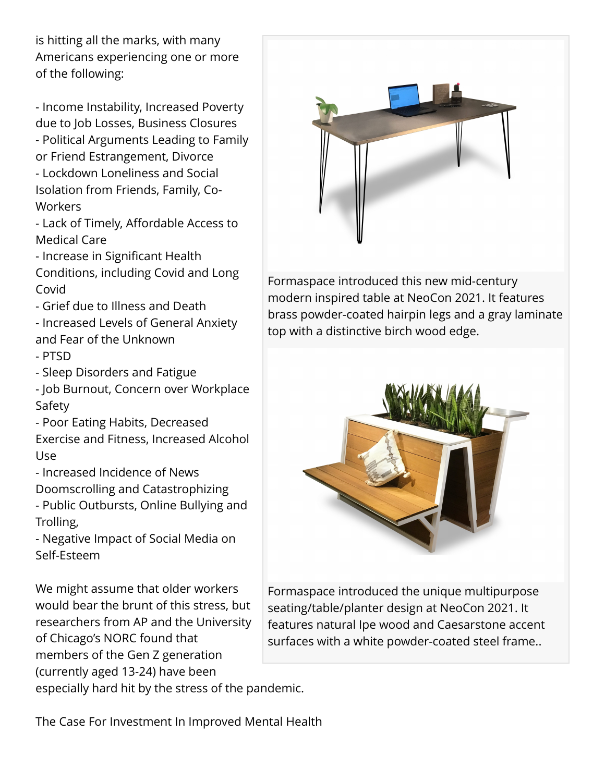is hitting all the marks, with many Americans experiencing one or more of the following:

- Income Instability, Increased Poverty due to Job Losses, Business Closures - Political Arguments Leading to Family or Friend Estrangement, Divorce - Lockdown Loneliness and Social Isolation from Friends, Family, Co-**Workers** 

- Lack of Timely, Affordable Access to Medical Care

- Increase in Significant Health Conditions, including Covid and Long Covid
- Grief due to Illness and Death
- Increased Levels of General Anxiety and Fear of the Unknown
- PTSD
- Sleep Disorders and Fatigue
- Job Burnout, Concern over Workplace Safety
- Poor Eating Habits, Decreased

Exercise and Fitness, Increased Alcohol Use

- Increased Incidence of News
- Doomscrolling and Catastrophizing
- Public Outbursts, Online Bullying and Trolling,

- Negative Impact of Social Media on Self-Esteem

We might assume that older workers would bear the brunt of this stress, but researchers from AP and the University of Chicago's NORC found that members of the Gen Z generation (currently aged 13-24) have been

especially hard hit by the stress of the pandemic.



Formaspace introduced this new mid-century modern inspired table at NeoCon 2021. It features brass powder-coated hairpin legs and a gray laminate top with a distinctive birch wood edge.



Formaspace introduced the unique multipurpose seating/table/planter design at NeoCon 2021. It features natural Ipe wood and Caesarstone accent surfaces with a white powder-coated steel frame..

The Case For Investment In Improved Mental Health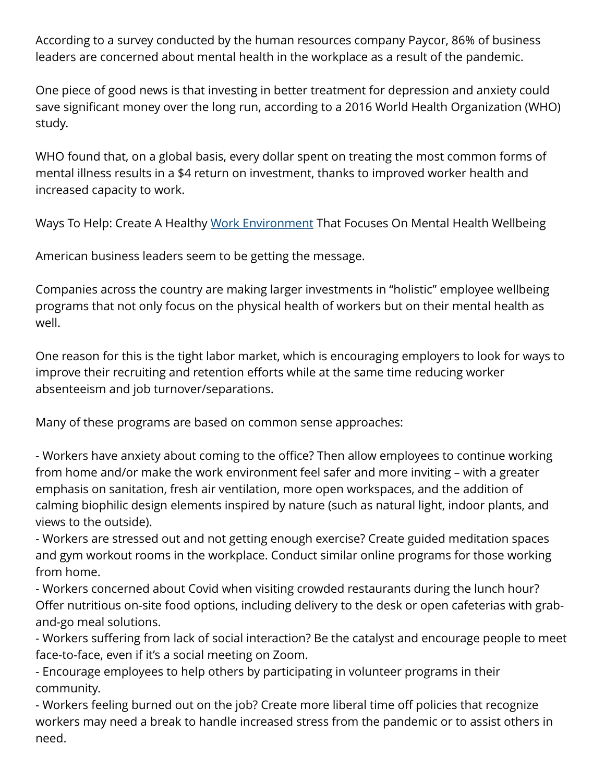According to a survey conducted by the human resources company Paycor, 86% of business leaders are concerned about mental health in the workplace as a result of the pandemic.

One piece of good news is that investing in better treatment for depression and anxiety could save significant money over the long run, according to a 2016 World Health Organization (WHO) study.

WHO found that, on a global basis, every dollar spent on treating the most common forms of mental illness results in a \$4 return on investment, thanks to improved worker health and increased capacity to work.

Ways To Help: Create A Healthy [Work Environment](https://formaspacecontract.com/?utm_source=Einpresswire&utm_medium=content&utm_campaign=article-01062021) That Focuses On Mental Health Wellbeing

American business leaders seem to be getting the message.

Companies across the country are making larger investments in "holistic" employee wellbeing programs that not only focus on the physical health of workers but on their mental health as well.

One reason for this is the tight labor market, which is encouraging employers to look for ways to improve their recruiting and retention efforts while at the same time reducing worker absenteeism and job turnover/separations.

Many of these programs are based on common sense approaches:

- Workers have anxiety about coming to the office? Then allow employees to continue working from home and/or make the work environment feel safer and more inviting – with a greater emphasis on sanitation, fresh air ventilation, more open workspaces, and the addition of calming biophilic design elements inspired by nature (such as natural light, indoor plants, and views to the outside).

- Workers are stressed out and not getting enough exercise? Create guided meditation spaces and gym workout rooms in the workplace. Conduct similar online programs for those working from home.

- Workers concerned about Covid when visiting crowded restaurants during the lunch hour? Offer nutritious on-site food options, including delivery to the desk or open cafeterias with graband-go meal solutions.

- Workers suffering from lack of social interaction? Be the catalyst and encourage people to meet face-to-face, even if it's a social meeting on Zoom.

- Encourage employees to help others by participating in volunteer programs in their community.

- Workers feeling burned out on the job? Create more liberal time off policies that recognize workers may need a break to handle increased stress from the pandemic or to assist others in need.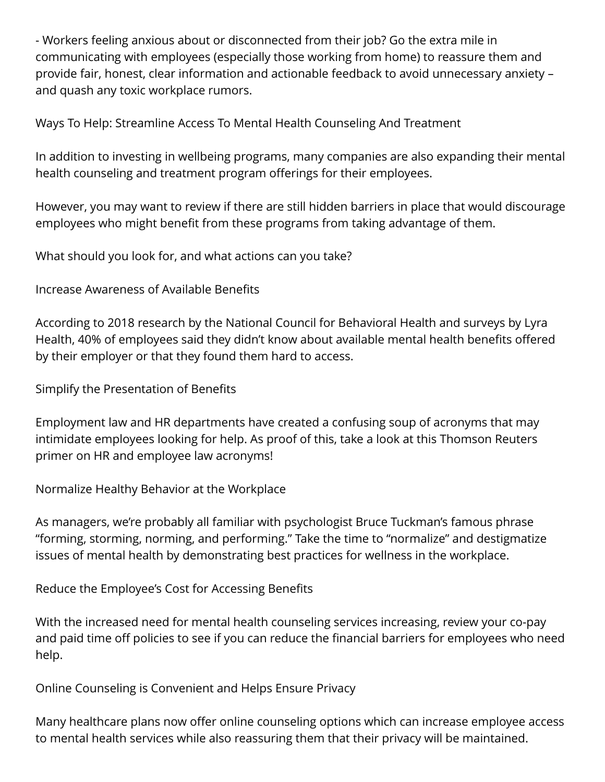- Workers feeling anxious about or disconnected from their job? Go the extra mile in communicating with employees (especially those working from home) to reassure them and provide fair, honest, clear information and actionable feedback to avoid unnecessary anxiety – and quash any toxic workplace rumors.

Ways To Help: Streamline Access To Mental Health Counseling And Treatment

In addition to investing in wellbeing programs, many companies are also expanding their mental health counseling and treatment program offerings for their employees.

However, you may want to review if there are still hidden barriers in place that would discourage employees who might benefit from these programs from taking advantage of them.

What should you look for, and what actions can you take?

Increase Awareness of Available Benefits

According to 2018 research by the National Council for Behavioral Health and surveys by Lyra Health, 40% of employees said they didn't know about available mental health benefits offered by their employer or that they found them hard to access.

Simplify the Presentation of Benefits

Employment law and HR departments have created a confusing soup of acronyms that may intimidate employees looking for help. As proof of this, take a look at this Thomson Reuters primer on HR and employee law acronyms!

Normalize Healthy Behavior at the Workplace

As managers, we're probably all familiar with psychologist Bruce Tuckman's famous phrase "forming, storming, norming, and performing." Take the time to "normalize" and destigmatize issues of mental health by demonstrating best practices for wellness in the workplace.

Reduce the Employee's Cost for Accessing Benefits

With the increased need for mental health counseling services increasing, review your co-pay and paid time off policies to see if you can reduce the financial barriers for employees who need help.

Online Counseling is Convenient and Helps Ensure Privacy

Many healthcare plans now offer online counseling options which can increase employee access to mental health services while also reassuring them that their privacy will be maintained.